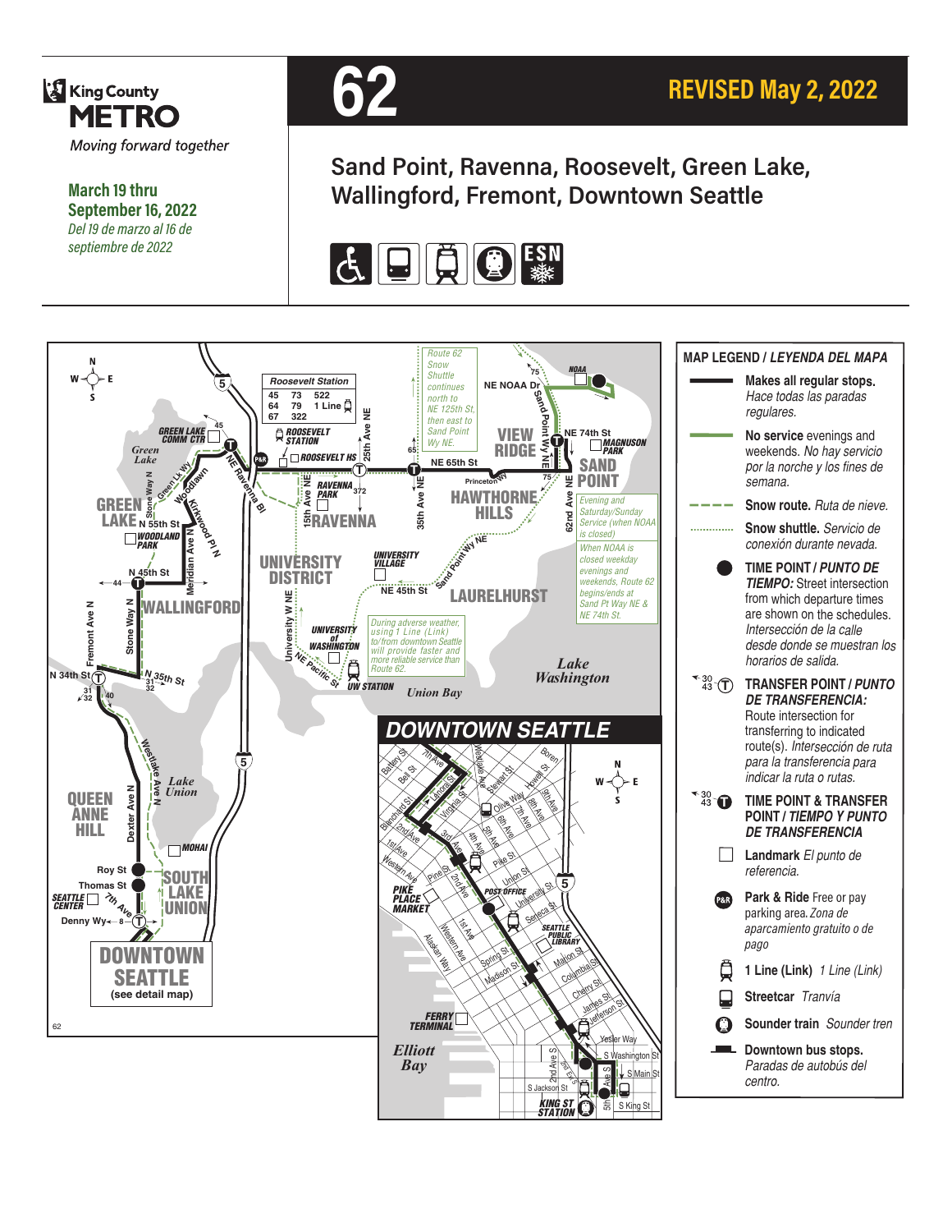

**March 19 thru September 16, 2022** *Del 19 de marzo al 16 de septiembre de 2022*



**Sand Point, Ravenna, Roosevelt, Green Lake, Wallingford, Fremont, Downtown Seattle**

**REVISED May 2, 2022**



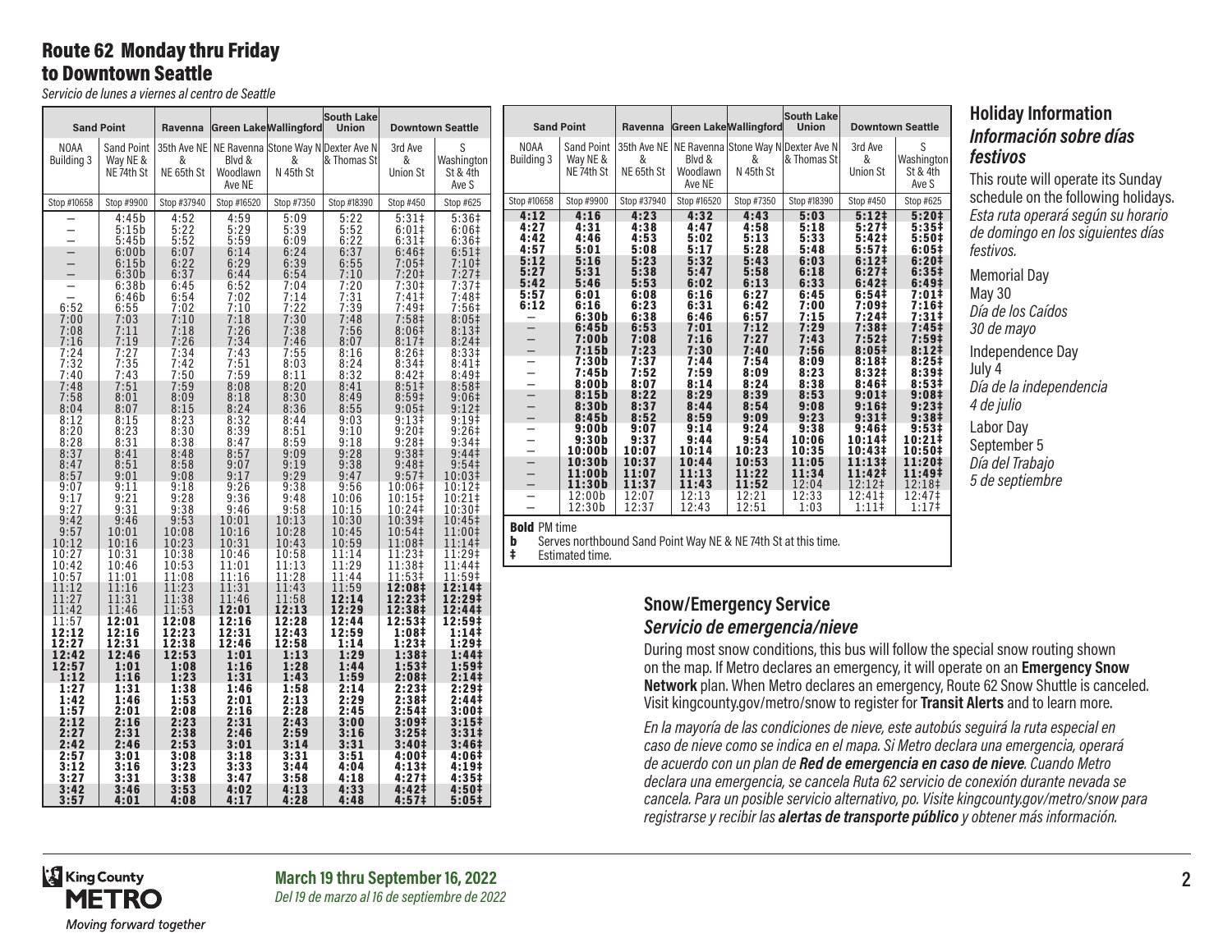### Route 62 Monday thru Friday to Downtown Seattle

*Servicio de lunes a viernes al centro de Seattle*

|                                                                    | <b>Sand Point</b>                                                                | Ravenna                                                    |                                                                     | <b>Green Lake Wallingford</b>                                                                                  | South Lake<br>Union                                              |                                                                                                                                                                                                                                | <b>Downtown Seattle</b>                                                                         |                                                                                                                                                                                                                                                                                  | <b>Sand Point</b>                         | Ravenna                                  |                                                   | Green Lake Wallingford                             | <b>South Lake</b><br><b>Union</b>                                                               |                                                             | <b>Downtown Seattle</b>             |
|--------------------------------------------------------------------|----------------------------------------------------------------------------------|------------------------------------------------------------|---------------------------------------------------------------------|----------------------------------------------------------------------------------------------------------------|------------------------------------------------------------------|--------------------------------------------------------------------------------------------------------------------------------------------------------------------------------------------------------------------------------|-------------------------------------------------------------------------------------------------|----------------------------------------------------------------------------------------------------------------------------------------------------------------------------------------------------------------------------------------------------------------------------------|-------------------------------------------|------------------------------------------|---------------------------------------------------|----------------------------------------------------|-------------------------------------------------------------------------------------------------|-------------------------------------------------------------|-------------------------------------|
| <b>NOAA</b><br><b>Building 3</b>                                   | <b>Sand Point</b><br>Way NE &<br>NE 74th St                                      | &<br>NE 65th St                                            | Blvd &<br>Woodlawn<br>Ave NE                                        | &<br>N 45th St                                                                                                 | 35th Ave NE   NE Ravenna Stone Way N Dexter Ave N<br>& Thomas St | 3rd Ave<br>&<br><b>Union St</b>                                                                                                                                                                                                | S<br>Washington<br>St & 4th<br>Ave S                                                            | <b>NOAA</b><br><b>Building 3</b>                                                                                                                                                                                                                                                 | Sand Point<br>Way NE &<br>NE 74th St      | &<br>NE 65th St                          | Blvd &<br>Woodlawn<br>Ave NE                      | &<br>N 45th St                                     | 35th Ave NE   NE Ravenna Stone Way N Dexter Ave N<br> & Thomas St                               | 3rd Ave<br>&<br>Union St                                    | S<br>Washingto<br>St & 4th<br>Ave S |
| Stop #10658                                                        | Stop #9900                                                                       | Stop #37940                                                | Stop #16520                                                         | Stop #7350                                                                                                     | Stop #18390                                                      | Stop #450                                                                                                                                                                                                                      | Stop #625                                                                                       | Stop #10658                                                                                                                                                                                                                                                                      | Stop #9900                                | Stop #37940                              | Stop #16520                                       | Stop #7350                                         | Stop #18390                                                                                     | Stop #450                                                   | Stop #625                           |
| $\overline{\phantom{0}}$                                           | 4:45b<br>5:15b<br>5:45b<br>6:00b<br>6:15b                                        | $4:52$<br>$5:22$<br>$5:52$<br>6:07<br>6:22                 | $4:59$<br>$5:29$<br>$5:59$<br>6:14<br>6:29                          | $\frac{5:09}{5:39}$<br>6:09<br>6:24<br>6:39                                                                    | 5:22<br>5:52<br>6:22<br>6:37<br>6:55                             | $5:31\neq$<br>6:01#<br>6:31#<br>6:46 <sup>‡</sup><br>$7:05+$                                                                                                                                                                   | $5:367$<br>6:06#<br>6:36#<br>$6:51\ddagger$<br>7:10 <sup>‡</sup>                                | $4:12$<br>$4:27$<br>4:42<br>4:57<br>5:12                                                                                                                                                                                                                                         | 4:16<br>4:31<br>4:46<br>5:01<br>5:16      | $4:23$<br>$4:38$<br>4:53<br>5:08<br>5:23 | $4:32$<br>$4:47$<br>$5:02$<br>$5:17$<br>5:32      | $4:43$<br>$4:58$<br>5:13<br>5:28<br>5:43           | $\frac{5:03}{5:18}$<br>5:33<br>5:48<br>6:03                                                     | $5:12$ ‡<br>5:27 ‡<br>$5:42$<br>$5:57$<br>6:12 <sup>‡</sup> |                                     |
| 6:52<br>7:00                                                       | 6:30b<br>6:38b<br>6:46b<br>6:55<br>7:03                                          | 6:37<br>$6:45$<br>$6:54$<br>7:02<br>7:10                   | 6:44<br>$6:52$<br>$7:02$<br>7:10                                    | 6:54<br>7:04<br>7:14<br>7:22<br>7:30                                                                           | 7:10<br>$7:20$<br>$7:31$<br>7:39<br>7:48                         | 7:20 <sup>‡</sup><br>$7:30+7:41+7:49+$                                                                                                                                                                                         | 7:27<br>$7:37‡$<br>7:48‡<br>7:56#<br>8:05 <sup>‡</sup>                                          | $5:27$<br>$5:42$<br>5:57<br>6:12                                                                                                                                                                                                                                                 | 5:31<br>5:46<br>6:01<br>6:16<br>6:30b     | 5:38<br>5:53<br>6:08<br>6:23<br>6:38     | $5:47$<br>$6:02$<br>$6:16$<br>$6:31$<br>$6:46$    | $5:58$<br>$6:13$<br>6:27<br>6:42                   | $6:18$<br>$6:33$<br>6:45<br>7:00<br>7:15                                                        | $6:27#$<br>$6:42#$<br>6:54‡<br>$7:09*$<br>7:24 <sup>‡</sup> |                                     |
| 7:08<br>7:16<br>$7:24$<br>$7:32$<br>7:40                           | 7:11<br>7:19<br>$7:27$<br>$7:35$<br>$7:43$                                       | 7:18<br>7:26<br>$7:34$<br>$7:42$<br>7:50                   | $7:18$<br>$7:26$<br>$7:34$<br>$7:43$<br>$7:51$<br>$7:59$            | 7:38<br>7:46<br>$7:55$<br>8:03<br>8:11                                                                         | 7:56<br>8:07<br>8:16<br>$8:24$<br>$8:32$                         | $7:58$<br>8:06‡<br>8:17‡<br>$8:26$<br>8:34‡<br>8:42‡                                                                                                                                                                           | 8:13 <sup>‡</sup><br>8:24 <sup>‡</sup><br>8:33 <sup>‡</sup><br>8:41<br>8:49‡                    | $\overline{\phantom{0}}$<br>—<br>-<br>—                                                                                                                                                                                                                                          | 6:45b<br>7:00b<br>7:15b<br>7:30b<br>7:45b | 6:53<br>7:08<br>7:23<br>$7:37$<br>$7:52$ | 7:01<br>7:16<br>7:30<br>$7:44$<br>$7:59$          | $6:57$<br>$7:12$<br>7:27<br>7:40<br>$7:54$<br>8:09 | 7:29<br>7:43<br>7:56<br>8:09                                                                    | 7:38‡<br>7:52#<br>8:05#<br>$8:18‡$<br>8:32‡                 |                                     |
| 7:48<br>7:58<br>8:04<br>8:12                                       | 7:51<br>8:01<br>8:07<br>8:15                                                     | 7:59<br>8:09<br>8:15<br>8:23                               | 8:08<br>8:18<br>$8:24$<br>$8:32$                                    | 8:20<br>8:30<br>8:36<br>8:44                                                                                   | 8:41<br>8:49<br>8:55<br>9:03                                     | 8:51<br>$8:59*$<br>$9:05$ ‡<br>$9:13+$                                                                                                                                                                                         | 8:58 <sup>‡</sup><br>9:06#<br>$9:12$ ‡<br>9:19 <sup>‡</sup>                                     | $\overline{\phantom{0}}$<br>$\overline{\phantom{0}}$<br>$\equiv$<br>-                                                                                                                                                                                                            | 8:00b<br>8:15b<br>8:30b<br>8:45b<br>9:00b | 8:07<br>8:22<br>8:37<br>8:52<br>9:07     | 8:14<br>8:29<br>$8:44$<br>$8:59$<br>9:14          | 8:24<br>8:39<br>$8:54$<br>9:09<br>9:24             | $8:23$<br>$8:38$<br>8:53<br>9:08<br>9:23<br>9:38                                                | $8:46+$<br>9:01‡<br>9:16 <sup>‡</sup><br>$9:31 \;$<br>9:46‡ |                                     |
| 8:20<br>8:28<br>8:37<br>8:47<br>8:57<br>9:07                       | 8:23<br>8:31<br>8:41<br>8:51<br>9:01<br>9:11                                     | 8:30<br>8:38<br>8:48<br>8:58<br>9:08<br>9:18               | 8:39<br>8:47<br>8:57<br>9:07<br>$\frac{9:17}{9:26}$                 | 8:51<br>8:59<br>9:09<br>9:19<br>9:29<br>9:38                                                                   | 9:10<br>9:18<br>9:28<br>9:38<br>9:47<br>9:56                     | $9:20+$<br>$9:28$ #<br>$9:38$ #<br>$9:48$ #                                                                                                                                                                                    | 9:26<br>9:34 <sup>‡</sup><br>9:44<br>9:54 <sup>‡</sup><br>10:03‡<br>10:12‡                      | -<br>$\overline{\phantom{0}}$<br>$\overline{a}$<br>$\equiv$                                                                                                                                                                                                                      | $9:30b$<br>10:00b<br>10:30b<br>11:00b     | 9:37<br>10:07<br>10:37<br>11:07<br>11:37 | $9:44$<br>10:14<br>10:44<br>11:13                 | $9:54$<br>10:23<br>10:53<br>11:22<br>11:52         | $10:06$<br>$10:35$<br>11:05<br>11:34                                                            | 10:14#<br>10:43‡<br>11:13‡<br>11:42‡                        |                                     |
| 9:17<br>9:27<br>9:42<br>9:57                                       | $9:21$<br>$9:31$<br>9:46<br>$\frac{10:01}{10:16}$                                | 9:28<br>9:38<br>9:53<br>10:08                              | $9:36$<br>$9:46$<br>10:01<br>$\frac{10:16}{10:31}$                  | 9:48<br>9:58<br>10:13<br>$10:28$<br>$10:43$                                                                    | $\frac{10:06}{10:15}$<br>10:30                                   | $9:57$<br>$10:06$<br>$10:15$<br>$10:24$<br>$10:39$<br>$10:54$<br>$11:08$<br>$11:08$                                                                                                                                            | 10:21‡<br>10:30‡<br>$10:45$<br>$11:00$<br>$11:14$                                               | —<br>$\overline{a}$<br><b>Bold PM time</b><br>b                                                                                                                                                                                                                                  | $11:30b$<br>$12:00b$<br>12:30b            | $12:07$<br>$12:37$                       | $\overline{11:43}$<br>$\overline{12:13}$<br>12:43 | $\frac{12:21}{12:51}$                              | $\frac{12:04}{12:33}$<br>1:03<br>Serves northbound Sand Point Way NE & NE 74th St at this time. | $12:12$ ‡<br>12:41 ‡<br>1:111                               |                                     |
| 10:12<br>10:27<br>10:42<br>10:57<br>11:12                          | 10:31<br>10:46<br>11:01<br>$\frac{11:16}{11:31}$                                 | 10:23<br>10:38<br>10:53<br>11:08<br>11:23                  | $10:46$<br>$11:01$<br>$11:16$<br>$11:31$<br>$11:46$<br><b>12:01</b> | 10:58<br>$\frac{11:13}{11:28}$                                                                                 | $10:45$<br>$10:59$<br>$11:14$<br>$11:29$<br>11:44<br>11:59       | $11:23+11:38+11:53+12:08+12:23+12:38+12:53+12:53+12:53+12:53+12:53+12:53+12:53+12:53+12:53+12:53+12:53+12:53+12:53+12:53+12:53+12:53+12:53+12:53+12:53+12:53+12:53+12:53+12:53+12:53+12:53+12:53+12:53+12:53+12:53+12:53+12:5$ | $11:29$<br>$11:44$<br>$11:59$<br>12:14‡                                                         | ŧ                                                                                                                                                                                                                                                                                | Estimated time.                           |                                          |                                                   |                                                    |                                                                                                 |                                                             |                                     |
| 11:27<br>11:42<br>$\frac{11:57}{12:12}$<br>12:27<br>12:42<br>12:57 | $\begin{array}{c} 11:46 \\ 12:01 \\ 12:16 \\ 12:31 \end{array}$<br>12:46<br>1:01 | 11:38<br>11:53<br>12:08<br>12:23<br>12:38<br>12:53<br>1:08 | $12:16$<br>$12:31$<br>12:46<br>1:01<br>1:16                         | $\frac{11:43}{11:58}$<br>$\frac{12:13}{12:13}$<br>12:28<br>12:43<br>12:58<br>12:58<br>1:13<br>$1:28$<br>$1:43$ | 12:14<br>12:29<br>12:44<br>12:59<br>1:14<br>1:29<br>1:44         | 12:53‡<br>1:08 <sup>‡</sup><br>$1:23+$<br>1:38‡<br>$1:53†$<br>2:08‡                                                                                                                                                            | $12:29+$<br>12:44‡<br>12:59‡<br>1:14<br>1:29‡<br>1:44‡<br>1:59 <sup>‡</sup>                     | <b>Snow/Emergency Service</b><br>Servicio de emergencia/nieve<br>During most snow conditions, this bus will follow th<br>on the map. If Metro declares an emergency, it will on                                                                                                  |                                           |                                          |                                                   |                                                    |                                                                                                 |                                                             |                                     |
| 1:12<br>1:27<br>1:42<br>1:57<br>2:12                               | 1:16<br>1:31<br>1:46<br>2:01<br>2:16                                             | 1:23<br>1:38<br>1:53<br>2:08<br>2:23                       | 1:31<br>1:46<br>2:01<br>2:16<br>2:31                                | 1:58<br>$2:13$<br>$2:28$<br>2:43                                                                               | 1:59<br>2:14<br>2:29<br>2:45<br>3:00                             | $2:23+$<br>2:38‡<br>2:54‡<br>3:09 <sup>‡</sup>                                                                                                                                                                                 | 2:141<br>2:29‡<br>2:44‡<br>3:00 <sup>‡</sup><br>$3:15+$                                         | Network plan. When Metro declares an emergency,<br>Visit kingcounty.gov/metro/snow to register for Trai                                                                                                                                                                          |                                           |                                          |                                                   |                                                    |                                                                                                 |                                                             |                                     |
| 2:27<br>2:42<br>2:57<br>3:12<br>3:27<br>3:42<br>3:57               | 2:31<br>2:46<br>3:01<br>3:16<br>3:31<br>3:46<br>4:01                             | 2:38<br>2:53<br>3:08<br>3:23<br>3:38<br>3:53<br>4:08       | 2:46<br>3:01<br>3:18<br>$3:33$<br>$3:47$<br>$4:02$<br>$4:17$        | 2:59<br>3:14<br>3:31<br>3:44<br>3:58<br>4:13<br>4:28                                                           | 3:16<br>3:31<br>3:51<br>4:04<br>4:18<br>4:33<br>4:48             | $3:25+$<br>3:40‡<br>4:00‡<br>4:13‡<br>4:27 <sup>‡</sup><br>4:42‡<br>4:57‡                                                                                                                                                      | 3:31 <sup>‡</sup><br>3:46 <sup>‡</sup><br>4:06‡<br>4:19‡<br>4:35‡<br>4:50‡<br>5:05 <sup>‡</sup> | En la mayoría de las condiciones de nieve, este autor<br>caso de nieve como se indica en el mapa. Si Metro d<br>de acuerdo con un plan de Red de emergencia en<br>declara una emergencia, se cancela Ruta 62 servicio<br>cancela. Para un posible servicio alternativo, po. Visi |                                           |                                          |                                                   |                                                    |                                                                                                 |                                                             |                                     |

### **Holiday Information** *Información sobre días festivos*

This route will operate its Sunday schedule on the following holidays. *Esta ruta operará según su horario de domingo en los siguientes días festivos.*

Memorial Day May 30 *Día de los Caídos 30 de mayo* Independence Day July 4 *Día de la independencia 4 de julio* Labor Day September 5 *Día del Trabajo 5 de septiembre*

### rvice *Servicio de emergencia/nieve*

S Washington St & 4th Ave S

ions, this bus will follow the special snow routing shown res an emergency, it will operate on an **Emergency Snow** ro declares an emergency, Route 62 Snow Shuttle is canceled. vo/snow to register for Transit Alerts and to learn more.

*En la mayoría de las condiciones de nieve, este autobús seguirá la ruta especial en caso de nieve como se indica en el mapa. Si Metro declara una emergencia, operará de acuerdo con un plan de Red de emergencia en caso de nieve. Cuando Metro declara una emergencia, se cancela Ruta 62 servicio de conexión durante nevada se cancela. Para un posible servicio alternativo, po. Visite kingcounty.gov/metro/snow para registrarse y recibir las alertas de transporte público y obtener más información.*

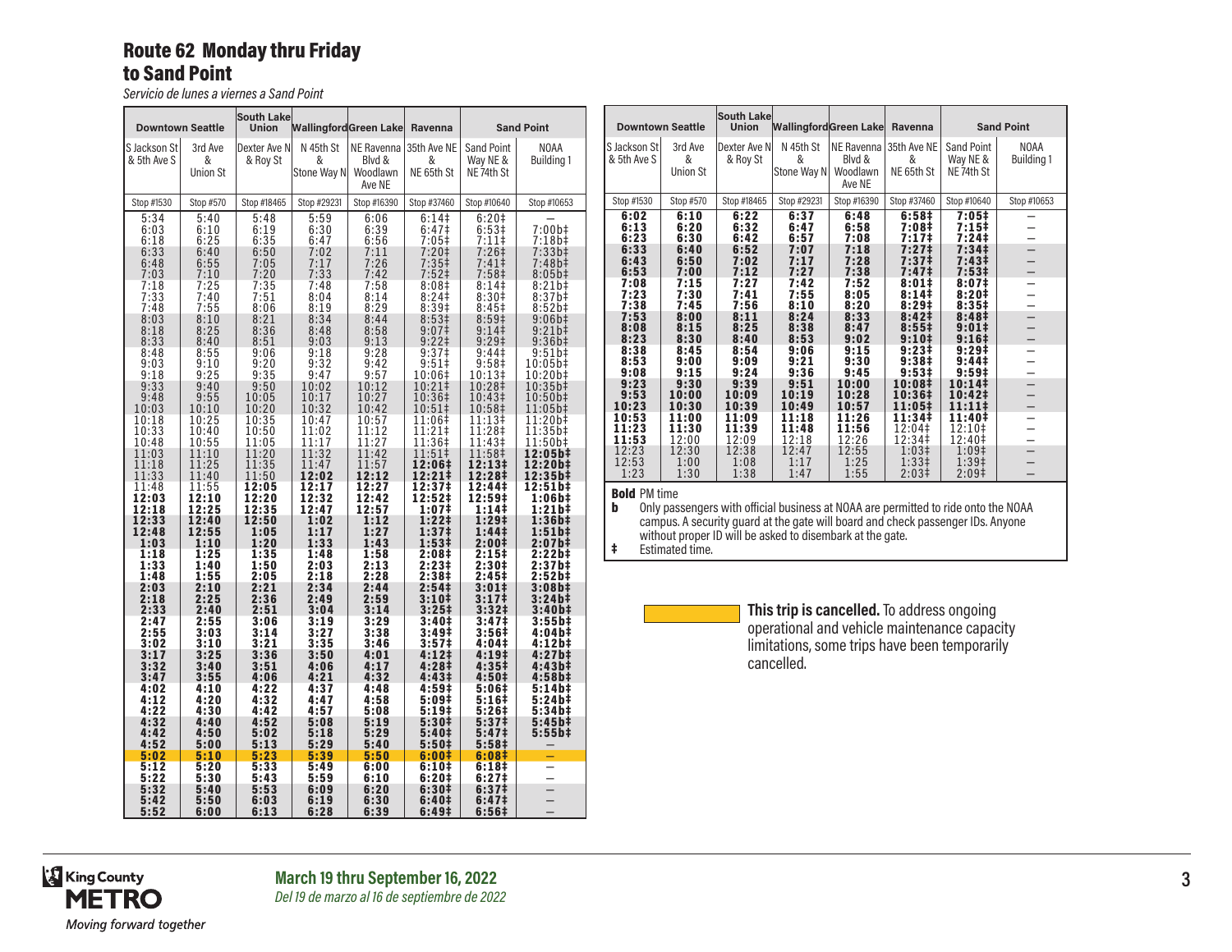### Route 62 Monday thru Friday to Sand Point

*Servicio de lunes a viernes a Sand Point*

| <b>Downtown Seattle</b>              |                                      | <b>South Lake</b><br><b>Union</b>        | WallingfordGreen Lake Ravenna        |                                          |                                                           |                                              | <b>Sand Point</b>                               |
|--------------------------------------|--------------------------------------|------------------------------------------|--------------------------------------|------------------------------------------|-----------------------------------------------------------|----------------------------------------------|-------------------------------------------------|
| S Jackson St<br>& 5th Ave S          | 3rd Ave<br>&<br><b>Union St</b>      | Dexter Ave N<br>& Roy St                 | N 45th St<br>&<br>Stone Way N        | Blvd &<br>Woodlawn<br>Ave NE             | NE Ravenna 35th Ave NE<br>&<br>NE 65th St                 | Sand Point<br>Way NE &<br>NE 74th St         | NOAA<br>Building 1                              |
| Stop #1530                           | Stop #570                            | Stop #18465                              | Stop #29231                          | Stop #16390                              | Stop #37460                                               | Stop #10640                                  | Stop #10653                                     |
| 5:34<br>6:03<br>6:18<br>6:33<br>6:48 | 5:40<br>6:10<br>6:25<br>6:40<br>6:55 | 5:48<br>$6:19$<br>$6:35$<br>6:50<br>7:05 | 5:59<br>6:30<br>6:47<br>7:02<br>7:17 | 6:06<br>$6:39$<br>$6:56$<br>7:11<br>7:26 | 6:14<br>$6:47‡$<br>7:05‡<br>$7:20$ ‡<br>7:35 <sup>‡</sup> | $6:20+$<br>$6:53‡$<br>7:11‡<br>7:26‡<br>7:41 | $7:00b\ddagger$<br>7:18b‡<br>$7:33b+$<br>7:48b‡ |
| 7:03                                 | 7:10                                 | 7:20                                     | 7:33                                 | 7:42                                     | 7:52 <sup>‡</sup>                                         | 7:58 <sup>‡</sup>                            | $8:05b\ddagger$                                 |
| 7:18                                 | 7:25                                 | 7:35                                     | 7:48                                 | 7:58                                     | 8:08‡                                                     | 8:14‡                                        | 8:21b‡                                          |
| 7:33                                 | 7:40                                 | 7:51                                     | 8:04                                 | 8:14                                     | 8:24                                                      | 8:30#                                        | 8:37b#                                          |
| 7:48                                 | 7:55                                 | 8:06                                     | 8:19                                 | 8:29                                     | 8:39#                                                     | 8:45 <sup>‡</sup>                            | 8:52b#                                          |
| 8:03                                 | 8:10                                 | 8:21                                     | 8:34                                 | 8:44                                     | 8:53‡                                                     | 8:59‡                                        | 9:06b‡                                          |
| 8:18                                 | 8:25                                 | 8:36                                     | 8:48                                 | 8:58                                     | 9:07 <sup>‡</sup>                                         | 9:14                                         | $9:21b\ddagger$                                 |
| 8:33                                 | 8:40                                 | 8:51                                     | 9:03                                 | 9:13                                     | $9:22 \ddagger$                                           | 9:29 <sup>‡</sup>                            | 9:36b#                                          |
| 8:48                                 | 8:55                                 | 9:06                                     | 9:18                                 | 9:28                                     | 9:37‡                                                     | 9:44‡                                        | 9:51b‡                                          |
| 9:03                                 | 9:10                                 | 9:20                                     | 9:32                                 | 9:42                                     | $9:51$ ‡                                                  | 9:58 <sup>‡</sup>                            | 10:05b‡                                         |
| 9:18                                 | 9:25                                 | 9:35                                     | 9:47                                 | 9:57                                     | 10:06‡                                                    | 10:13‡                                       | 10:20b‡                                         |
| 9:33                                 | 9:40                                 | 9:50                                     | 10:02                                | 10:12                                    | 10:21‡                                                    | 10:28‡                                       | 10:35b‡                                         |
| 9:48                                 | 9:55                                 | 10:05                                    | 10:17                                | 10:27                                    | 10:36‡                                                    | 10:43‡                                       | 10:50b‡                                         |
| 10:03                                | 10:10                                | 10:20                                    | 10:32                                | 10:42                                    | 10:51‡                                                    | 10:58‡                                       | 11:05b‡                                         |
| 10:18                                | 10:25                                | 10:35                                    | 10:47                                | 10:57                                    | 11:06‡                                                    | 11:13‡                                       | 11:20b‡                                         |
| 10:33                                | 10:40                                | 10:50                                    | 11:02                                | 11:12                                    | 11:21‡                                                    | 11:28‡                                       | 11:35b‡                                         |
| 10:48                                | 10:55                                | 11:05                                    | 11:17                                | 11:27                                    | 11:36‡                                                    | 11:43‡                                       | 11:50b‡                                         |
| 11:03                                | 11:10                                | 11:20                                    | 11:32                                | 11:42                                    | 11:51‡                                                    | 11:58‡                                       | 12:05b‡                                         |
| 11:18                                | 11:25                                | 11:35                                    | 11:47                                | 11:57                                    | 12:06‡                                                    | 12:13‡                                       | 12:20b‡                                         |
| 11:33                                | 11:40                                | 11:50                                    | 12:02                                | 12:12                                    | 12:21‡                                                    | 12:28‡                                       | 12:35b‡                                         |
| 11:48                                | 11:55                                | 12:05                                    | 12:17                                | 12:27                                    | 12:37‡                                                    | 12:44‡                                       | 12:51b‡                                         |
| 12:03                                | 12:10                                | 12:20                                    | 12:32                                | 12:42                                    | 12:52‡                                                    | 12:59‡                                       | 1:06b‡                                          |
| 12:18                                | 12:25                                | 12:35                                    | 12:47                                | 12:57                                    | 1:07 <sup>‡</sup>                                         | $1:14+$                                      | $1:21b\ddagger$                                 |
| 12:33                                | 12:40                                | 12:50                                    | 1:02                                 | 1:12                                     | 1:22‡                                                     | 1:29‡                                        | 1:36b‡                                          |
| 12:48                                | 12:55                                | 1:05                                     | 1:17                                 | 1:27                                     | 1:37 <sup>‡</sup>                                         | 1:44‡                                        | 1:51b‡                                          |
| 1:03                                 | 1:10                                 | 1:20                                     | 1:33                                 | 1:43                                     | 1:53#                                                     | 2:00‡                                        | 2:07b‡                                          |
| 1:18                                 | 1:25                                 | 1:35                                     | 1:48                                 | 1:58                                     | 2:08‡                                                     | 2:15‡                                        | 2:22b‡                                          |
| 1:33                                 | 1:40                                 | 1:50                                     | 2:03                                 | 2:13                                     | 2:23‡                                                     | 2:30‡                                        | 2:37b‡                                          |
| 1:48                                 | 1:55                                 | 2:05                                     | 2:18                                 | 2:28                                     | 2:38‡                                                     | 2:45 <sup>‡</sup>                            | 2:52b‡                                          |
| 2:03                                 | 2:10                                 | 2:21                                     | 2:34                                 | 2:44                                     | 2:54‡                                                     | 3:01‡                                        | 3:08b‡                                          |
| 2:18                                 | 2:25                                 | 2:36                                     | 2:49                                 | 2:59                                     | 3:10‡                                                     | 3:17‡                                        | 3:24b‡                                          |
| 2:33                                 | 2:40                                 | 2:51                                     | 3:04                                 | 3:14                                     | $3:25+$                                                   | 3:32 <sup>†</sup>                            | $3:40b\ddagger$                                 |
| 2:47                                 | 2:55                                 | 3:06                                     | 3:19                                 | 3:29                                     | 3:40‡                                                     | 3:47‡                                        | 3:55b‡                                          |
| 2:55                                 | 3:03                                 | 3:14                                     | 3:27                                 | 3:38                                     | 3:49‡                                                     | 3:56‡                                        | 4:04b‡                                          |
| 3:02                                 | 3:10                                 | 3:21                                     | 3:35                                 | 3:46                                     | 3:57 <sup>‡</sup>                                         | 4:04‡                                        | $4:12b+$                                        |
| 3:17                                 | 3:25                                 | 3:36                                     | 3:50                                 | 4:01                                     | 4:12‡                                                     | 4:19‡                                        | 4:27b‡                                          |
| 3:32                                 | 3:40                                 | 3:51                                     | 4:06                                 | 4:17                                     | 4:28‡                                                     | 4:35‡                                        | 4:43b#                                          |
| 3:47                                 | 3:55                                 | 4:06                                     | 4:21                                 | 4:32                                     | 4:43 <sup>‡</sup>                                         | 4:50‡                                        | $4:58b\ddagger$                                 |
| 4:02                                 | 4:10                                 | 4:22                                     | 4:37                                 | 4:48                                     | 4:59‡                                                     | 5:06‡                                        | 5:14b‡                                          |
| 4:12                                 | 4:20                                 | 4:32                                     | 4:47                                 | 4:58                                     | 5:09‡                                                     | 5:16‡                                        | 5:24b‡                                          |
| 4:22                                 | 4:30                                 | 4:42                                     | 4:57                                 | 5:08                                     | 5:19‡                                                     | 5:26‡                                        | 5:34b#                                          |
| 4:32                                 | 4:40                                 | 4:52                                     | 5:08                                 | 5:19                                     | 5:30‡                                                     | 5:37‡                                        | 5:45b‡                                          |
| 4:42                                 | 4:50                                 | 5:02                                     | 5:18                                 | 5:29                                     | 5:40‡                                                     | 5:47‡                                        | 5:55b#                                          |
| 4:52                                 | 5:00                                 | 5:13                                     | 5:29                                 | 5:40                                     | 5:50 <sup>‡</sup>                                         | 5:58 <sup>‡</sup>                            |                                                 |
| 5:02                                 | 5:10                                 | 5:23                                     | 5:39                                 | 5:50                                     | 6:00‡                                                     | 6:08‡                                        |                                                 |
| 5:12<br>5:22<br>5:32                 | 5:20<br>5:30<br>5:40                 | 5:33<br>5:43<br>5:53                     | 5:49<br>5:59<br>6:09                 | 6:00<br>6:10<br>6:20                     | 6:10‡<br>6:20‡<br>6:30‡                                   | 6:18‡<br>6:27‡<br>6:37‡                      | -<br>$\overline{\phantom{0}}$                   |
| 5:42                                 | 5:50                                 | 6:03                                     | 6:19                                 | 6:30                                     | 6:40‡                                                     | 6:47‡                                        | $\equiv$                                        |
| 5:52                                 | 6:00                                 | 6:13                                     | 6:28                                 | 6:39                                     | 6:49‡                                                     | 6:56‡                                        |                                                 |

| <b>Downtown Seattle</b>     |                                 | South Lake<br><b>Union</b> | <b>WallingfordGreen Lake</b>  |                              | Ravenna                                   |                                      | <b>Sand Point</b>                |
|-----------------------------|---------------------------------|----------------------------|-------------------------------|------------------------------|-------------------------------------------|--------------------------------------|----------------------------------|
| S Jackson St<br>& 5th Ave S | 3rd Ave<br>&<br><b>Union St</b> | Dexter Ave N<br>& Roy St   | N 45th St<br>&<br>Stone Way N | Blvd &<br>Woodlawn<br>Ave NE | NE Ravenna 35th Ave NE<br>&<br>NE 65th St | Sand Point<br>Way NE &<br>NE 74th St | <b>NOAA</b><br><b>Building 1</b> |
| Stop #1530                  | Stop #570                       | Stop #18465                | Stop #29231                   | Stop #16390                  | Stop #37460                               | Stop #10640                          | Stop #10653                      |
| 6:02                        | 6:10                            | 6:22                       | 6:37                          | 6:48                         | 6:58 <sup>‡</sup>                         | 7:05#                                | —                                |
| 6:13                        | 6:20                            | 6:32                       | 6:47                          | 6:58                         | 7:08 <sup>‡</sup>                         | $7:15+$                              |                                  |
| 6:23                        | 6:30                            | 6:42                       | 6:57                          | 7:08                         | 7:17                                      | 7:24                                 |                                  |
| 6:33                        | 6:40                            | 6:52                       | 7:07                          | 7:18                         | 7:27 <sup>‡</sup>                         | 7:34 <sup>‡</sup>                    | —                                |
| 6:43                        | 6:50                            | 7:02                       | 7:17                          | 7:28                         | 7:37‡                                     | 7:43 <sup>‡</sup>                    |                                  |
| 6:53                        | 7:00                            | 7:12                       | 7:27                          | 7:38                         | 7:47 <sup>‡</sup>                         | 7:53 <sup>‡</sup>                    |                                  |
| 7:08                        | 7:15                            | 7:27                       | 7:42                          | 7:52                         | 8:01#                                     | 8:07 <sup>‡</sup>                    |                                  |
| 7:23                        | 7:30                            | 7:41                       | 7:55                          | 8:05                         | 8:14#                                     | 8:20#                                |                                  |
| 7:38                        | 7:45                            | 7:56                       | 8:10                          | 8:20                         | 8:29#                                     | 8:35#                                |                                  |
| 7:53                        | 8:00                            | 8:11                       | 8:24                          | 8:33                         | 8:42 <sup>‡</sup>                         | 8:48 <sup>‡</sup>                    |                                  |
| 8:08                        | 8:15                            | 8:25                       | 8:38                          | 8:47                         | 8:55 <sup>‡</sup>                         | 9:01#                                |                                  |
| 8:23                        | 8:30                            | 8:40                       | 8:53                          | 9:02                         | 9:10 <sup>‡</sup>                         | 9:16 <sup>‡</sup>                    | —                                |
| 8:38                        | 8:45                            | 8:54                       | 9:06                          | 9:15                         | 9:231                                     | 9:291                                |                                  |
| 8:53                        | 9:00                            | 9:09                       | 9:21                          | 9:30                         | 9:38 <sup>‡</sup>                         | 9:44 <sup>‡</sup>                    |                                  |
| 9:08                        | 9:15                            | 9:24                       | 9:36                          | 9:45                         | 9:53#                                     | $9:59^{\ddagger}$                    |                                  |
| 9:23                        | 9:30                            | 9:39                       | 9:51                          | 10:00                        | 10:08‡                                    | 10:14                                |                                  |
| 9:53                        | 10:00                           | 10:09                      | 10:19                         | 10:28                        | 10:36‡                                    | 10:42‡                               |                                  |
| 10:23                       | 10:30                           | 10:39                      | 10:49                         | 10:57                        | 11:05‡                                    | $11:11*$                             |                                  |
| 10:53                       | 11:00                           | 11:09                      | 11:18                         | 11:26                        | 11:34‡                                    | 11:40‡                               |                                  |
| 11:23                       | 11:30                           | 11:39                      | 11:48                         | 11:56                        | 12:04‡                                    | $12:10+$                             |                                  |
| 11:53                       | 12:00                           | 12:09                      | 12:18                         | 12:26                        | 12:34‡                                    | 12:40‡                               |                                  |
| 12:23                       | 12:30                           | 12:38                      | 12:47                         | 12:55                        | $1:03+$                                   | 1:09 <sup>‡</sup>                    |                                  |
| 12:53                       | 1:00                            | 1:08                       | 1:17                          | 1:25                         | $1:33+$                                   | 1:39 <sup>†</sup>                    |                                  |
| 1:23                        | 1:30                            | 1:38                       | 1:47                          | 1:55                         | 2:03 <sup>‡</sup>                         | 2:09 <sup>‡</sup>                    |                                  |

# **Bold** PM time<br>**b** Only pase

b Only passengers with official business at NOAA are permitted to ride onto the NOAA campus. A security guard at the gate will board and check passenger IDs. Anyone without proper ID will be asked to disembark at the gate.

‡ Estimated time.



**This trip is cancelled.** To address ongoing operational and vehicle maintenance capacity limitations, some trips have been temporarily cancelled.

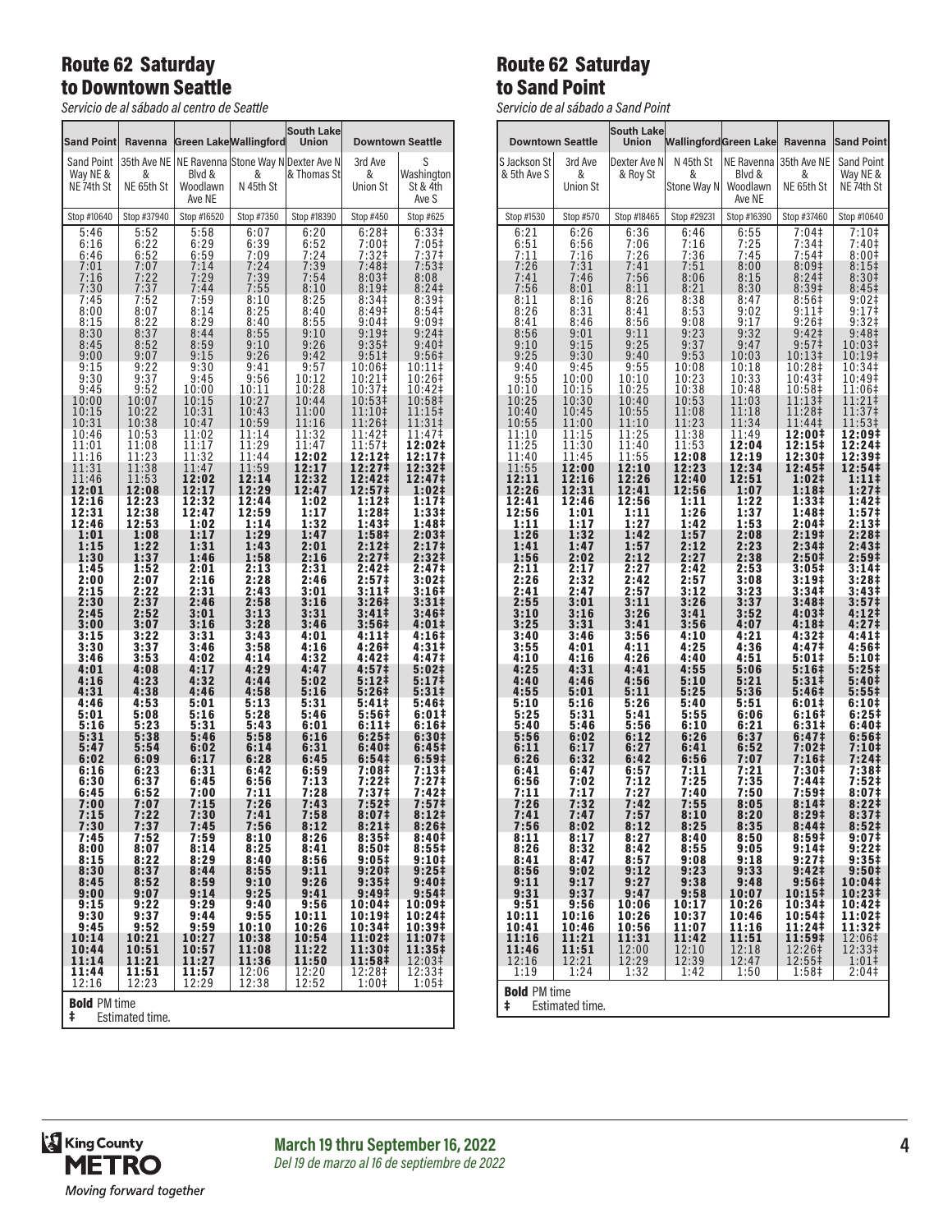## Route 62 Saturday to Downtown Seattle

*Servicio de al sábado al centro de Seattle*

| Sand Point<br>Ravenna     |                               |              | <b>Green Lake Wallingford</b>                     | <b>South Lake</b><br><b>Union</b> | <b>Downtown Seattle</b>    |                   |  |
|---------------------------|-------------------------------|--------------|---------------------------------------------------|-----------------------------------|----------------------------|-------------------|--|
| Sand Point                |                               |              | 35th Ave NE   NE Ravenna Stone Way N Dexter Ave N |                                   | 3rd Ave                    | S                 |  |
| Way NE &                  | &                             | Blvd &       | &                                                 | & Thomas St                       | &                          | Washington        |  |
| NE 74th St                | NE 65th St                    | Woodlawn     | N 45th St                                         |                                   | <b>Union St</b>            | St & 4th          |  |
|                           |                               | Ave NE       |                                                   |                                   |                            | Ave S             |  |
| Stop #10640               | Stop #37940                   | Stop #16520  | Stop #7350                                        | Stop #18390                       | Stop #450                  | Stop #625         |  |
| 5:46                      | 5:52                          | 5:58         | 6:07                                              | 6:20                              | 6:28‡                      | 6:33#             |  |
| 6:16                      | 6:22                          | 6:29         | 6:39                                              | $6:52$<br>$7:24$                  | 7:00‡                      | 7:05‡             |  |
| 6:46                      | 6:52                          | 6:59         | 7:09                                              | 7:39                              | 7:32 <sup>‡</sup>          | 7:37 <sup>‡</sup> |  |
| 7:01                      | 7:07                          | 7:14         | 7:24                                              |                                   | 7:48‡                      | 7:53‡             |  |
| 7:16                      | 7:22                          | 7:29         | 7:39                                              | 7:54                              | 8:03‡                      | 8:08              |  |
| 7:30                      | 7:37                          | 7:44         | 7:55                                              | 8:10                              | 8:19‡                      | 8:24              |  |
| 7:45                      | 7:52                          | 7:59         | 8:10<br>8:25                                      | 8:25<br>8:40                      | 8:34‡<br>8:49 <sup>‡</sup> | 8:39 <sup>‡</sup> |  |
| 8:00<br>8:15              | 8:07<br>8:22                  | 8:14<br>8:29 | 8:40                                              | 8:55                              | $9:04 \ddagger$            | 8:54<br>9:09‡     |  |
| 8:30                      | 8:37                          | 8:44         | 8:55                                              | 9:10                              | $9:19+$                    | 9:24              |  |
| 8:45                      | 8:52                          | 8:59         | 9:10                                              | 9:26                              | 9:35‡                      | 9:40 <sup>‡</sup> |  |
| 9:00                      | 9:07                          | 9:15         | 9:26                                              | 9:42                              | 9:51‡                      | 9:56‡             |  |
| 9:15                      | 9:22                          | 9:30         | 9:41                                              | 9:57                              | 10:06‡                     | 10:11‡            |  |
| 9:30                      | 9:37                          | 9:45         | 9:56                                              | 10:12                             | 10:21‡                     | 10:26‡            |  |
| 9:45                      | 9:52                          | 10:00        | 10:11                                             | 10:28                             | 10:37‡                     | 10:42‡            |  |
| 10:00                     | 10:07                         | 10:15        | 10:27                                             | 10:44                             | 10:53‡                     | 10:58‡            |  |
| 10:15                     | 10:22                         | 10:31        | 10:43                                             | 11:00                             | 11:10‡                     | 11:15‡            |  |
| 10:31                     | 10:38                         | 10:47        | 10:59                                             | 11:16                             | 11:26‡                     | 11:31‡            |  |
| 10:46                     | 10:53                         | 11:02        | 11:14                                             | 11:32                             | 11:42‡                     | 11:47‡            |  |
| 11:01                     | 11:08                         | 11:17        | 11:29                                             | 11:47                             | 11:57‡                     | 12:02‡            |  |
| 11:16                     | 11:23                         | 11:32        | 11:44                                             | 12:02                             | 12:12‡                     | 12:17‡            |  |
| 11:31                     | 11:38                         | 11:47        | 11:59                                             | 12:17                             | 12:27‡                     | 12:32‡            |  |
| 11:46                     | 11:53                         | 12:02        | 12:14                                             | 12:32                             | 12:42‡                     | 12:47‡            |  |
| 12:01                     | 12:08                         | 12:17        | 12:29                                             | 12:47                             | 12:57‡                     | 1:02‡             |  |
| 12:16                     | 12:23                         | 12:32        | 12:44                                             | 1:02                              | $1:12+$                    | 1:17‡             |  |
| 12:31                     | $\overline{1}\overline{2}:38$ | 12:47        | 12:59                                             | 1:17                              | 1:28‡                      | 1:33‡             |  |
| 12:46                     | 12:53                         | 1:02         | 1:14                                              | 1:32                              | 1:43‡                      | 1:48‡             |  |
| 1:01                      | 1:08                          | 1:17         | 1:29                                              | 1:47                              | 1:58‡                      | 2:03‡             |  |
| 1:15                      | 1:22                          | 1:31         | 1:43                                              | 2:01                              | 2:12‡                      | 2:17 <sup>‡</sup> |  |
| 1:30                      | 1:37                          | 1:46         | 1:58                                              | 2:16                              | 2:27 <sup>‡</sup>          | 2:32‡             |  |
| 1:45                      | 1:52                          | 2:01         | 2:13                                              | 2:31                              | 2:42‡                      | 2:47‡             |  |
| 2:00                      | 2:07                          | 2:16         | 2:28                                              | 2:46                              | 2:57 <sup>‡</sup>          | 3:02‡             |  |
| 2:15                      | 2:22                          | 2:31         | 2:43                                              | 3:01                              | $3:11+$                    | 3:16‡             |  |
| 2:30                      | 2:37                          | 2:46         | 2:58                                              | 3:16                              | 3:26‡                      | 3:31‡             |  |
| 2:45                      | 2:52                          | 3:01         | 3:13                                              | 3:31                              | 3:41‡                      | 3:46‡             |  |
| 3:00                      | 3:07                          | 3:16         | 3:28                                              | 3:46                              | 3:56‡                      | 4:01‡             |  |
| 3:15                      | 3:22                          | 3:31         | 3:43                                              | 4:01                              | 4:11‡                      | 4:16‡             |  |
| 3:30                      | 3:37                          | 3:46         |                                                   | 4:16                              | 4:26‡                      | 4:31‡             |  |
| 3:46                      | 3:53                          | 4:02         | 3:58<br>4:14                                      | 4:32                              | 4:42‡                      | 4:47 <sup>‡</sup> |  |
| 4:01                      | 4:08                          | 4:17         | 4:29                                              | 4:47                              | 4:57‡                      | 5:02‡             |  |
| 4:16                      | 4:23                          | 4:32         | 4:44                                              | 5:02                              | 5:121                      | 5:17‡             |  |
| 4:31                      | 4:38                          | 4:46         | 4:58                                              | 5:16                              | 5:26‡                      | 5:31‡             |  |
| 4:46                      | 4:53                          | 5:01         | 5:13                                              | 5:31                              | 5:41‡                      | 5:46‡             |  |
| 5:01                      | 5:08                          | 5:16         | 5:28                                              | 5:46                              | 5:56‡                      | 6:01‡             |  |
| 5:16                      | 5:23                          | 5:31         | 5:43                                              | 6:01                              | 6:11‡                      | 6:16‡             |  |
| 5:31                      | 5:38                          | 5:46         | 5:58                                              | 6:16                              | 6:25#                      | 6:30‡             |  |
| 5:47                      | 5:54                          | 6:02         | 6:14                                              | 6:31                              | 6:40‡                      | 6:45‡             |  |
| 6:02                      | 6:09                          | 6:17         | 6:28                                              | 6:45                              | 6:54‡                      | 6:59‡             |  |
| 6:16                      | 6:23                          | 6:31         | 6:42                                              | 6:59                              | 7:08‡                      | 7:13‡             |  |
| 6:30                      | 6:37                          | 6:45         | 6:56                                              | 7:13                              | 7:22‡                      | 7:27‡             |  |
| 6:45                      | 6:52                          | 7:00         | 7:11                                              | 7:28                              | 7:37‡                      | 7:42‡             |  |
| 7:00                      | 7:07                          | 7:15         | 7:26                                              | 7:43                              | 7:52‡                      | 7:57‡             |  |
| 7:15                      | 7:22                          | 7:30         | 7:41                                              | 7:58                              | 8:07 <sup>‡</sup>          | 8:12 <sup>‡</sup> |  |
| 7:30                      | 7:37                          | 7:45         | 7:56                                              | 8:12                              | 8:211                      | 8:26#             |  |
| 7:45                      | 7:52                          | 7:59         | 8:10                                              | 8:26                              | 8:35‡                      | 8:40‡             |  |
| 8:00                      | 8:07                          | 8:14         | 8:25                                              | 8:41                              | 8:50#                      | 8:551             |  |
| 8:15                      | 8:22                          | 8:29         | 8:40                                              | 8:56                              | $9:05\ddagger$             | 9:10‡             |  |
| 8:30                      | 8:37                          | 8:44         | 8:55                                              | 9:11                              | 9:20 <sup>†</sup>          | 9:25 <sup>‡</sup> |  |
| 8:45                      | 8:52                          | 8:59         | 9:10                                              | 9:26                              | 9:35‡                      | 9:40‡             |  |
| 9:00                      | 9:07                          | 9:14         | 9:25                                              | 9:41                              | 9:49‡                      | 9:54‡             |  |
| 9:15                      | 9:22                          | 9:29         | 9:40                                              | 9:56                              | 10:04‡                     | 10:09‡            |  |
| 9:30                      | 9:37                          | 9:44         | 9:55                                              | 10:11                             | 10:19‡                     | 10:24‡            |  |
| 9:45                      | 9:52                          | 9:59         | 10:10                                             | 10:26                             | 10:34‡                     | 10:39‡            |  |
| 10:14                     | 10:21                         | 10:27        | 10:38                                             | 10:54                             | 11:02‡                     | 11:07‡            |  |
| 10:44                     | 10:51                         | 10:57        | 11:08                                             | 11:22                             | 11:30‡                     | 11:35‡            |  |
| 11:14                     | 11:21                         | 11:27        | 11:36                                             | 11:50                             | 11:58‡                     | 12:03‡            |  |
| 11:44                     | 11:51                         | 11:57        | 12:06                                             | 12:20                             | 12:28‡                     | 12:33‡            |  |
| 12:16                     | 12:23                         | 12:29        | 12:38                                             | 12:52                             | 1:00‡                      | $1:05+$           |  |
| <b>Bold PM time</b><br>ŧ. | Estimated time.               |              |                                                   |                                   |                            |                   |  |

## Route 62 Saturday to Sand Point

*Servicio de al sábado a Sand Point*

|                             |                        | al sabado a salla Follit   |                         |                              |                         |                         |
|-----------------------------|------------------------|----------------------------|-------------------------|------------------------------|-------------------------|-------------------------|
| <b>Downtown Seattle</b>     |                        | <b>South Lake</b><br>Union |                         | <b>WallingfordGreen Lake</b> | Ravenna                 | <b>Sand Point</b>       |
| S Jackson St                | 3rd Ave                | Dexter Ave N               | N 45th St               | NE Ravenna                   | 35th Ave NE             | <b>Sand Point</b>       |
| & 5th Ave S                 | &                      | & Roy St                   | &                       | Blvd &                       | &                       | Way NE &                |
|                             | <b>Union St</b>        |                            | Stone Way N             | Woodlawn<br>Ave NE           | NE 65th St              | NE 74th St              |
| Stop #1530                  | Stop #570              | Stop #18465                | Stop #29231             | Stop #16390                  | Stop #37460             | Stop #10640             |
| 6:21<br>$\frac{6:51}{7:11}$ | 6:26<br>6:56<br>7:16   | 6:36<br>7:06<br>7:26       | 6:46<br>7:16<br>7:36    | 6:55<br>$7:25$<br>$7:45$     | 7:04‡<br>7:34#<br>7:54‡ | 7:10‡<br>7:40‡<br>8:00‡ |
| 7:26                        | 7:31                   | 7:41                       | 7:51                    | 8:00                         | 8:09‡                   | 8:15‡                   |
| 7:41                        | 7:46                   | 7:56                       | 8:06                    | 8:15                         | 8:24‡                   | 8:30‡                   |
| 7:56                        | 8:01                   | 8:11                       | 8:21                    | 8:30                         | 8:39 <sup>‡</sup>       | 8:45‡                   |
| 8:11                        | 8:16                   | 8:26                       | 8:38                    | 8:47                         | 8:56‡                   | 9:02‡                   |
| 8:26                        | 8:31                   | 8:41                       | 8:53                    | 9:02                         | $9:11$ ‡                | 9:17‡                   |
| 8:41                        | 8:46                   | 8:56                       | 9:08                    | 9:17                         | 9:26‡                   | 9:32‡                   |
| 8:56                        | 9:01                   | 9:11                       | 9:23                    | 9:32                         | 9:42                    | 9:48‡                   |
| 9:10                        | 9:15                   | 9:25                       | 9:37                    | 9:47                         | 9:57‡                   | 10:03‡                  |
| 9:25                        | 9:30                   | 9:40                       | 9:53                    | 10:03                        | 10:13‡                  | 10:19‡                  |
| 9:40                        | 9:45                   | 9:55                       | 10:08                   | 10:18                        | 10:28‡                  | 10:34‡                  |
| 9:55                        | 10:00                  | 10:10                      | 10:23                   | 10:33                        | 10:43‡                  | 10:49‡                  |
| 10:10                       | 10:15                  | 10:25                      | 10:38                   | 10:48                        | 10:58‡                  | 11:06‡                  |
| 10:25                       | 10:30                  | 10:40                      | 10:53                   | 11:03                        | 11:13‡                  | 11:21‡                  |
| 10:40                       | 10:45                  | 10:55                      | 11:08                   | 11:18                        | 11:28‡                  | 11:37‡                  |
| 10:55                       | 11:00                  | 11:10                      | 11:23                   | 11:34                        | 11:44‡                  | 11:53‡                  |
| 11:10                       | 11:15                  | 11:25                      | 11:38                   | 11:49                        | 12:00‡                  | 12:09‡                  |
| 11:25                       | 11:30                  | 11:40                      | 11:53                   | 12:04                        | 12:15‡                  | 12:24‡                  |
| 11:40                       | 11:45                  | 11:55                      | 12:08                   | 12:19                        | 12:30‡                  | 12:39‡                  |
|                             | 12:00                  | 12:10                      | 12:23                   | 12:34                        | 12:45‡                  | 12:54‡                  |
| 11:55<br>12:11              | 12:16                  | 12:26                      | 12:40                   | 12:51                        | 1:02‡                   | 1:11‡                   |
| 12:26                       | 12:31                  | 12:41                      | 12:56                   | 1:07                         | 1:18‡                   | 1:27‡                   |
| 12:41                       | 12:46                  | 12:56                      | 1:11                    | 1:22                         | 1:33‡                   | 1:42‡                   |
| 12:56                       | 1:01                   | 1:11                       | 1:26                    | 1:37                         | 1:48‡                   | 1:57‡                   |
| 1:11                        | 1:17                   | 1:27                       | 1:42                    | 1:53                         | 2:04 <sup>‡</sup>       | 2:13‡                   |
| 1:26                        | 1:32                   | 1:42                       | 1:57                    | 2:08                         | 2:19 <sup>‡</sup>       | 2:28‡                   |
| 1:41                        | 1:47                   | 1:57                       | 2:12                    | 2:23                         | 2:34‡                   | 2:43‡                   |
| 1:56                        | 2:02                   | 2:12                       | 2:27                    | 2:38                         | 2:50‡                   | 2:59‡                   |
| 2:11                        | 2:17                   | 2:27                       | 2:42                    | 2:53                         | $3:05\ddagger$          | 3:14‡                   |
| 2:26                        | 2:32                   | 2:42                       | 2:57                    | 3:08                         | $3:19+$                 | 3:28‡                   |
| 2:41                        | 2:47                   | 2:57                       | 3:12                    | 3:23                         | 3:34 <sup>‡</sup>       | 3:43‡                   |
| 2:55                        | 3:01                   | 3:11                       | 3:26                    | 3:37                         | 3:48‡                   | 3:57‡                   |
| 3:10                        | 3:16                   | 3:26                       | 3:41                    | 3:52                         | 4:03‡                   | 4:12‡                   |
| 3:25                        | 3:31                   | 3:41                       | 3:56                    | 4:07                         | 4:18‡                   | 4:27‡                   |
| 3:40                        | 3:46                   | 3:56                       | 4:10                    | 4:21                         | 4:32‡                   | 4:41‡                   |
| 3:55                        | 4:01                   | 4:11                       | 4:25                    | 4:36                         | 4:47‡                   | 4:56‡                   |
| 4:10                        | 4:16                   | 4:26                       | 4:40                    | 4:51                         | 5:01‡                   | 5:10‡                   |
| 4:25                        | 4:31                   | 4:41                       | 4:55                    | 5:06                         | 5:16‡                   | 5:25‡                   |
| 4:40                        | 4:46                   | 4:56                       | 5:10                    | 5:21                         | 5:31‡                   | 5:40‡                   |
| 4:55                        | 5:01                   | 5:11                       | 5:25                    | 5:36                         | 5:46‡                   | 5:55‡                   |
| 5:10                        | 5:16                   | 5:26                       | 5:40                    | 5:51                         | 6:01‡                   | 6:10‡                   |
| 5:25                        | 5:31                   | 5:41                       | 5:55                    | 6:06                         | 6:16‡                   | 6:25‡                   |
| 5:40                        | 5:46                   | 5:56                       | 6:10                    | 6:21                         | 6:31‡                   | 6:40‡                   |
| 5:56                        | 6:02                   | 6:12                       | 6:26                    | 6:37                         | 6:47‡                   | 6:56‡                   |
| 6:11                        | 6:17                   | 6:27                       | 6:41                    | 6:52                         | 7:02‡                   | 7:10‡                   |
| 6:26                        | 6:32                   | 6:42                       | 6:56                    | 7:07<br>7:21                 | 7:16‡                   | 7:24‡                   |
| 6:41                        | 6:47                   | 6:57                       | 7:11                    | 7:35                         | 7:30‡                   | 7:38‡                   |
| 6:56                        | 7:02                   | 7:12                       | 7:25                    |                              | 7:44‡                   | 7:52‡                   |
| 7:11                        | 7:17                   | 7:27                       | 7:40                    | 7:50                         | 7:59‡                   | 8:07‡                   |
| 7:26                        | 7:32                   | 7:42                       | 7:55                    | 8:05                         | 8:141                   | 8:221                   |
| 7:41                        | 7:47                   | 7:57                       | 8:10                    | 8:20                         | 8:29‡                   | 8:37‡                   |
| 7:56                        | 8:02                   | 8:12                       | 8:25                    | 8:35                         | 8:44‡                   | 8:52‡                   |
| 8:11                        | 8:17                   | 8:27                       | 8:40                    | 8:50                         | 8:59#                   | 9:07 <sup>†</sup>       |
| 8:26                        | 8:32                   | 8:42                       | 8:55                    | 9:05                         | 9:14‡                   | 9:22‡                   |
| 8:41                        | 8:47                   | 8:57                       | 9:08                    | 9:18                         | 9:27‡                   | 9:35‡                   |
| 8:56                        | 9:02                   | 9:12                       | 9:23                    | 9:33                         | 9:42 <sup>‡</sup>       | 9:50#                   |
| 9:11                        | 9:17                   | 9:27                       | 9:38                    | 9:48                         | 9:56‡                   | 10:04‡                  |
| 9:31<br>9:51                | 9:37                   | 9:47                       | 9:58                    | 10:07<br>10:26               | 10:15‡<br>10:34‡        | 10:23‡<br>10:42‡        |
| 10:11<br>10:41              | 9:56<br>10:16<br>10:46 | 10:06<br>10:26<br>10:56    | 10:17<br>10:37<br>11:07 | 10:46<br>11:16               | 10:54‡<br>11:24‡        | 11:02‡<br>11:32‡        |
| 11:16                       | 11:21                  | 11:31                      | 11:42                   | 11:51                        | 11:59‡                  | 12:06‡                  |
| 11:46                       |                        | 12:00                      | 12:10                   | 12:18                        | 12:26‡                  | 12:33‡                  |
| 12:16                       | 11:51<br>12:21         | 12:29                      | 12:39                   | 12:47                        | 12:55‡                  | 1:01‡                   |
| 1:19<br><b>Bold PM time</b> | 1:24                   | 1:32                       | 1:42                    | 1:50                         | 1:58‡                   | 2:04‡                   |
|                             |                        |                            |                         |                              |                         |                         |

‡ Estimated time.